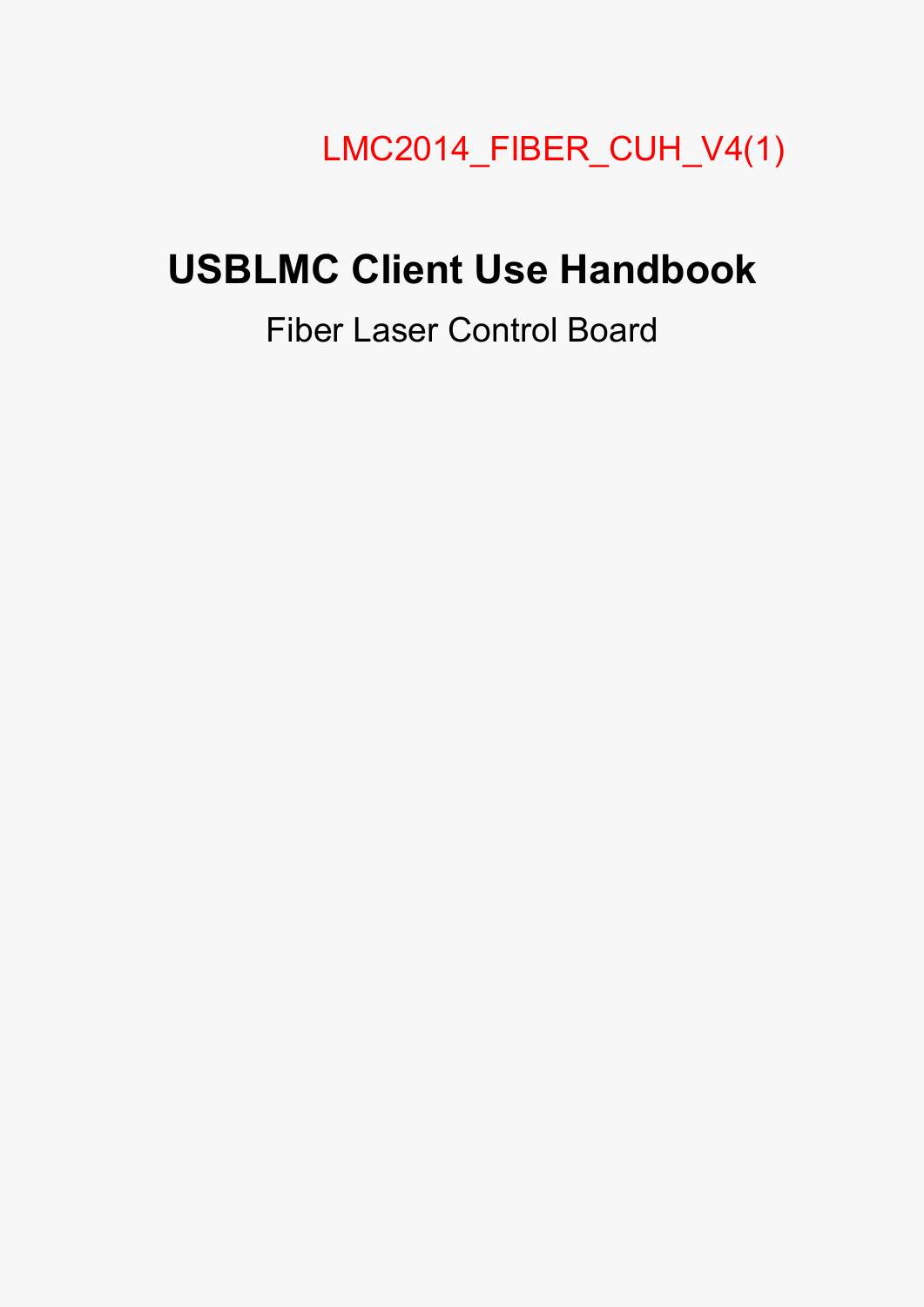## LMC2014\_FIBER\_CUH\_V4(1)

# **USBLMC Client Use Handbook**

## Fiber Laser Control Board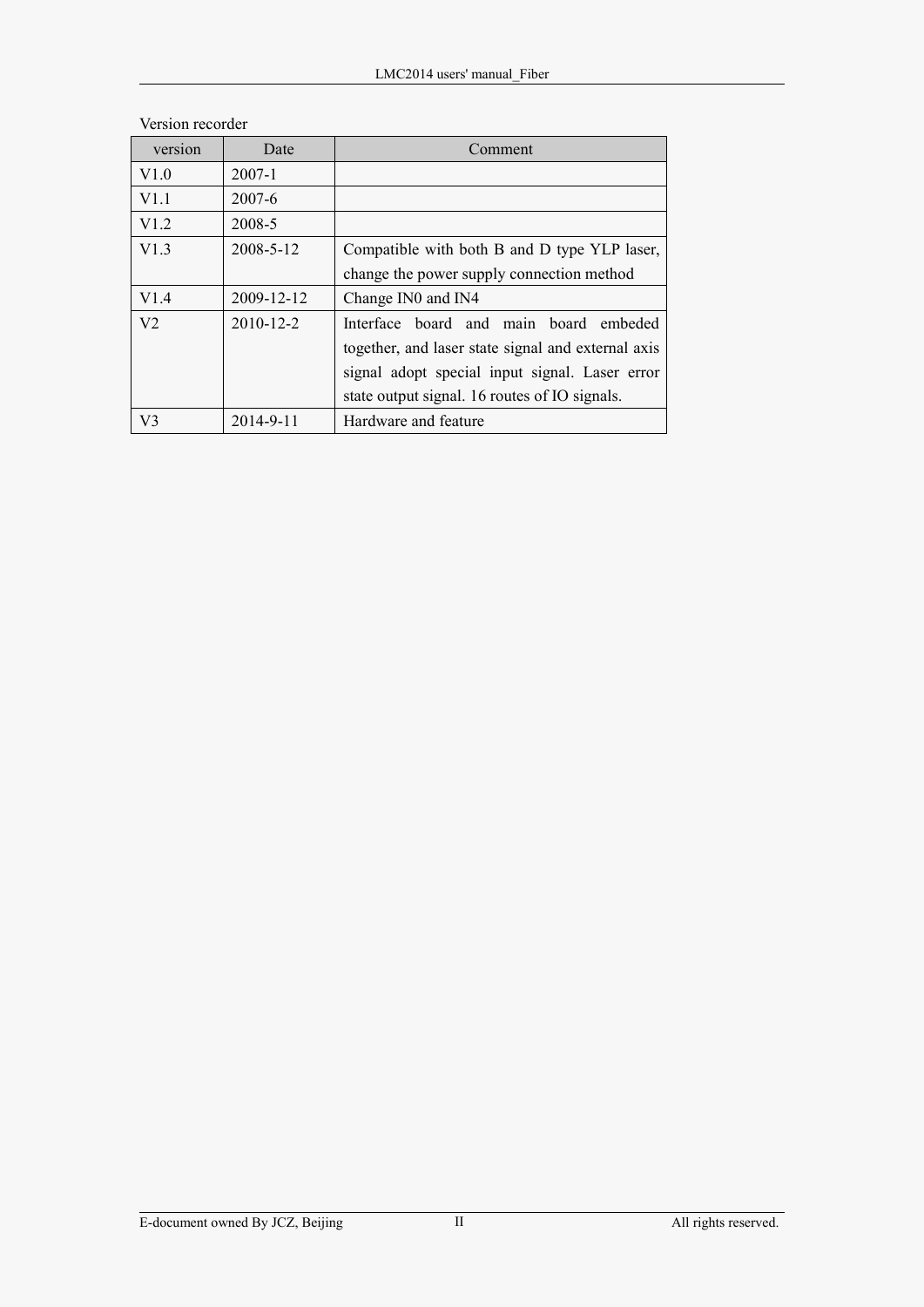| version        | Date            | Comment                                            |
|----------------|-----------------|----------------------------------------------------|
| V1.0           | $2007 - 1$      |                                                    |
| V1.1           | $2007 - 6$      |                                                    |
| V1.2           | 2008-5          |                                                    |
| V1.3           | 2008-5-12       | Compatible with both B and D type YLP laser,       |
|                |                 | change the power supply connection method          |
| V1.4           | 2009-12-12      | Change IN0 and IN4                                 |
| V <sub>2</sub> | $2010 - 12 - 2$ | Interface board and main board embeded             |
|                |                 | together, and laser state signal and external axis |
|                |                 | signal adopt special input signal. Laser error     |
|                |                 | state output signal. 16 routes of IO signals.      |
| V <sub>3</sub> | $2014 - 9 - 11$ | Hardware and feature                               |

#### Version recorder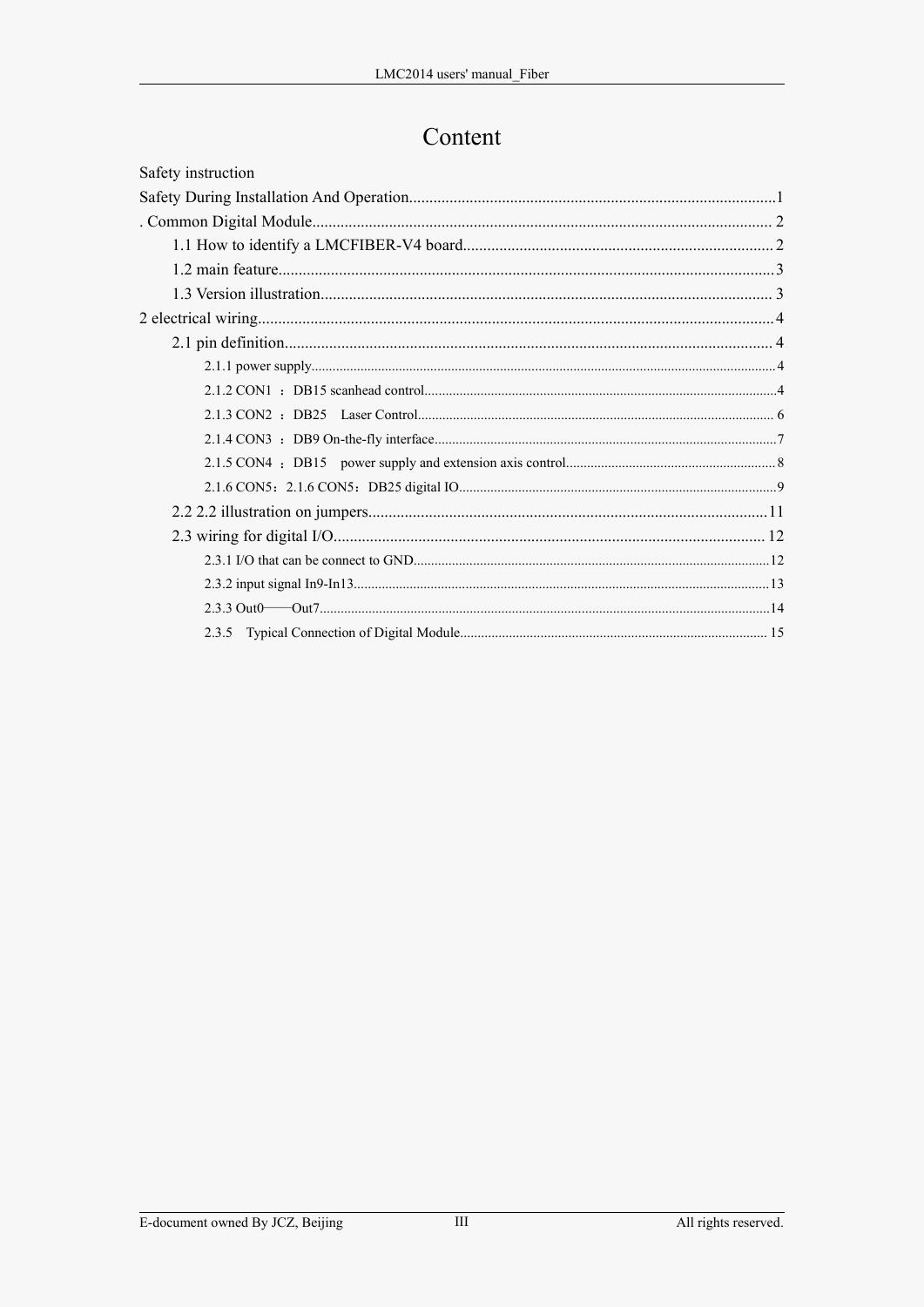### Content

| Safety instruction |  |
|--------------------|--|
|                    |  |
|                    |  |
|                    |  |
|                    |  |
|                    |  |
|                    |  |
|                    |  |
|                    |  |
|                    |  |
|                    |  |
|                    |  |
|                    |  |
|                    |  |
|                    |  |
|                    |  |
|                    |  |
|                    |  |
|                    |  |
|                    |  |
|                    |  |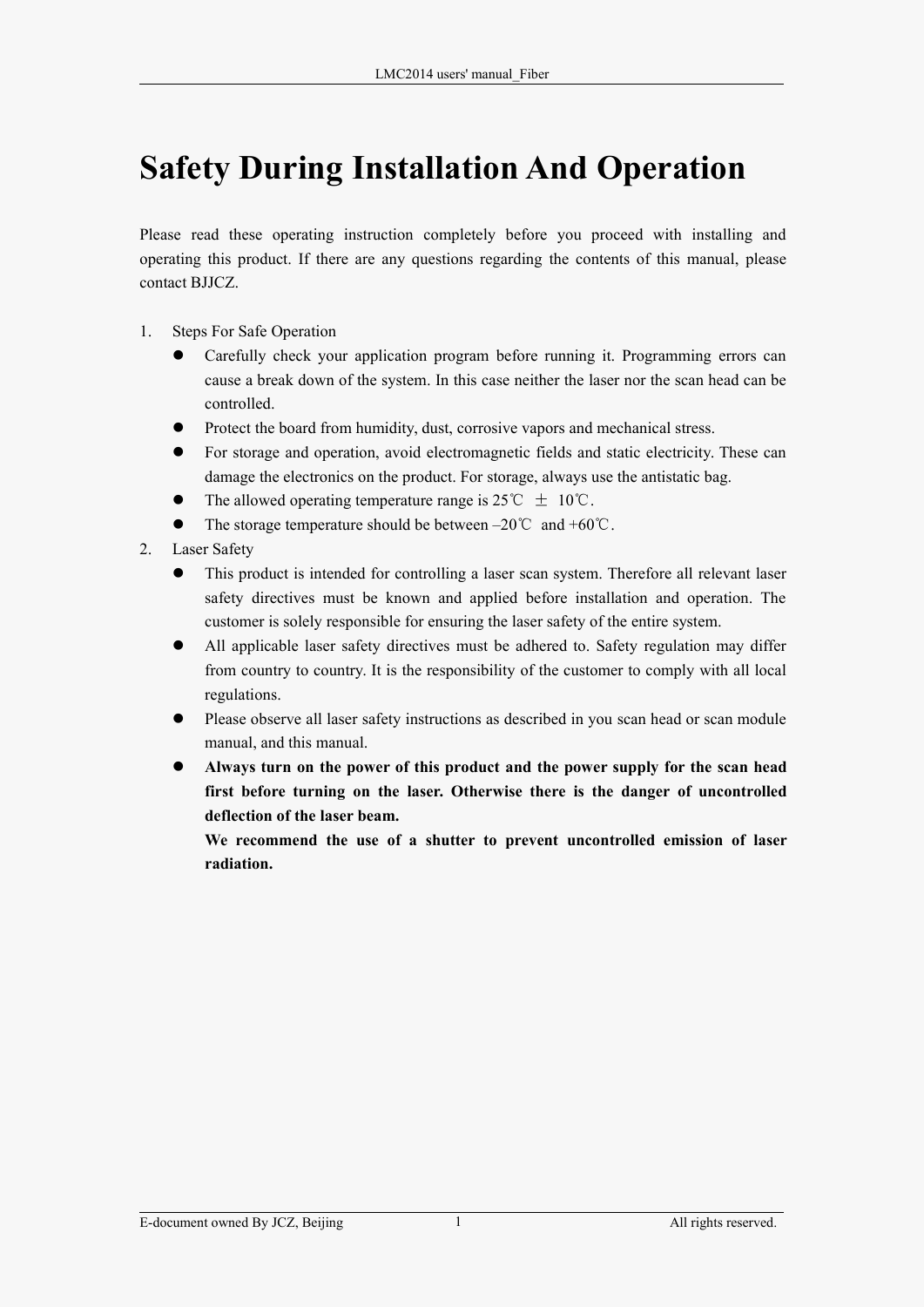## <span id="page-3-0"></span>**Safety During Installation And Operation**

Please read these operating instruction completely before you proceed with installing and operating this product. If there are any questions regarding the contents of this manual, please contact BJJCZ.

- 1. Steps For Safe Operation
	- Carefully check your application program before running it. Programming errors can cause a break down of the system. In this case neither the laser nor the scan head can be controlled.
	- Protect the board from humidity, dust, corrosive vapors and mechanical stress.
	- For storage and operation, avoid electromagnetic fields and static electricity. These can damage the electronics on the product. For storage, always use the antistatic bag.
	- The allowed operating temperature range is 25°C  $\pm$  10°C.
	- The storage temperature should be between –20℃ and +60℃.
- 2. Laser Safety
	- This product is intended for controlling a laser scan system. Therefore all relevant laser safety directives must be known and applied before installation and operation. The customer is solely responsible for ensuring the laser safety of the entire system.
	- All applicable laser safety directives must be adhered to. Safety regulation may differ from country to country. It is the responsibility of the customer to comply with all local regulations.
	- Please observe all laser safety instructions as described in you scan head or scan module manual, and this manual.
	- **Always turn on the power of this product and the power supply for the scan head first before turning on the laser. Otherwise there is the danger of uncontrolled deflection of the laser beam.**

**We recommend the use of a shutter to prevent uncontrolled emission of laser radiation.**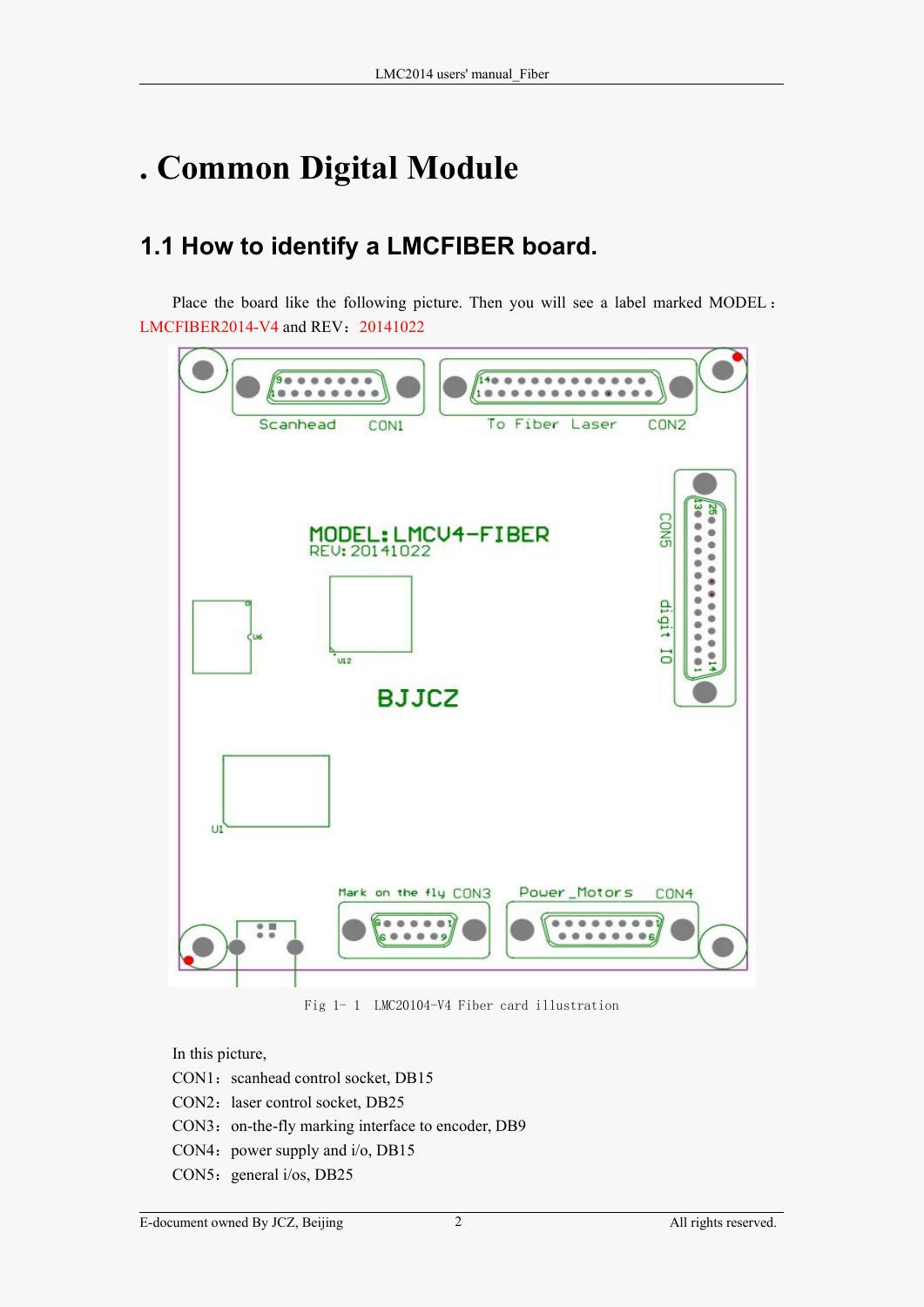## <span id="page-4-0"></span>**. Common Digital Module**

## **1.1 How to identify a LMCFIBER board.**

Place the board like the following picture. Then you will see a label marked MODEL : LMCFIBER2014-V4 and REV:20141022



Fig 1- 1 LMC20104-V4 Fiber card illustration

In this picture,

- CON1: scanhead control socket, DB15
- CON2: laser control socket, DB25
- CON3: on-the-fly marking interface to encoder, DB9
- CON4: power supply and  $i$ /o, DB15
- CON5: general i/os, DB25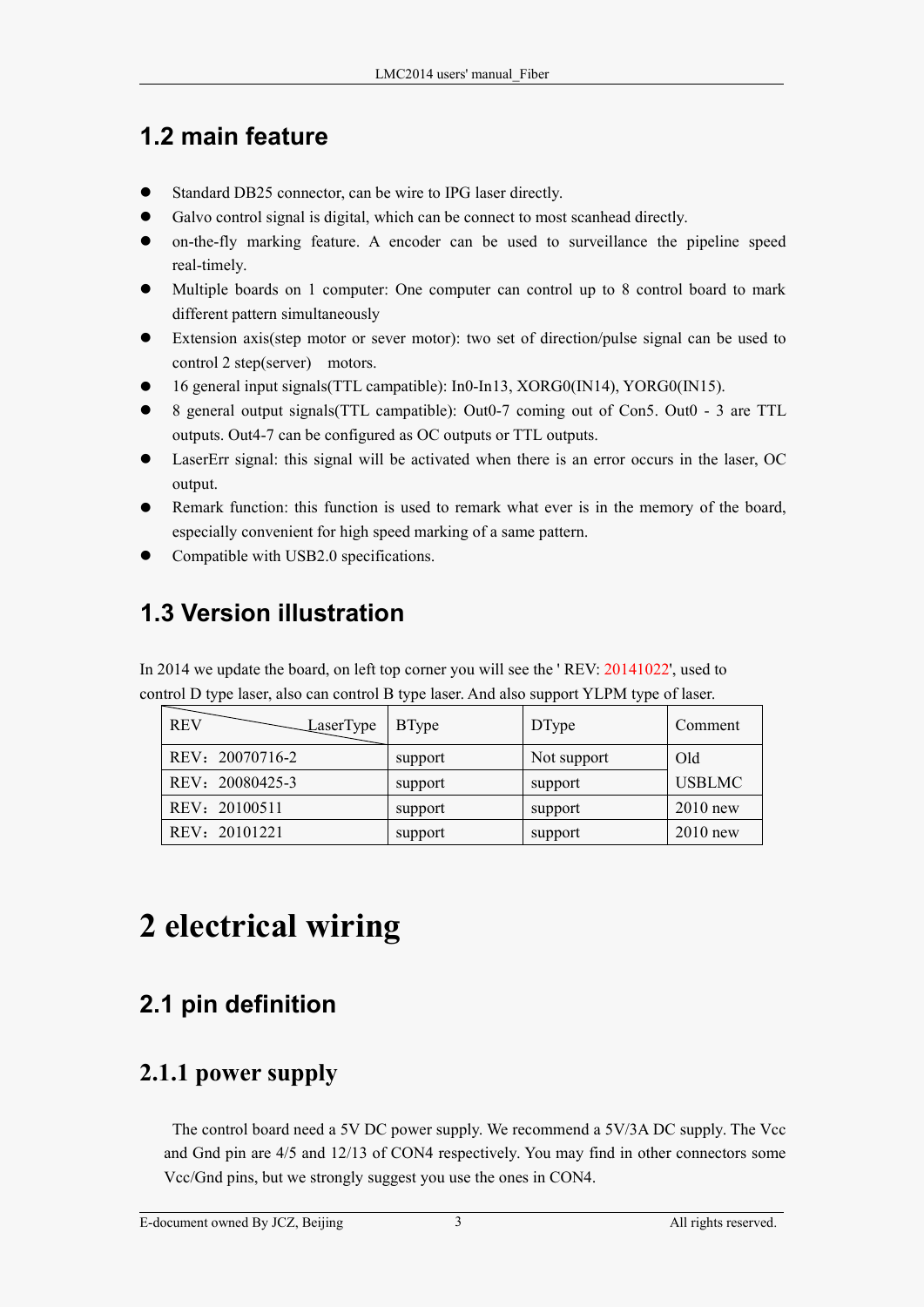## <span id="page-5-0"></span>**1.2 main feature**

- Standard DB25 connector, can be wire to IPG laser directly.
- Galvo control signal is digital, which can be connect to most scanhead directly.
- on-the-fly marking feature. A encoder can be used to surveillance the pipeline speed real-timely.
- Multiple boards on 1 computer: One computer can control up to 8 control board to mark different pattern simultaneously
- Extension axis(step motor or sever motor): two set of direction/pulse signal can be used to control 2 step(server) motors.
- 16 general input signals(TTL campatible): In0-In13, XORG0(IN14), YORG0(IN15).
- 8 general output signals(TTL campatible): Out0-7 coming out of Con5. Out0 3 are TTL outputs. Out4-7 can be configured as OC outputs or TTL outputs.
- LaserErr signal: this signal will be activated when there is an error occurs in the laser, OC output.
- Remark function: this function is used to remark what ever is in the memory of the board, especially convenient for high speed marking of a same pattern.
- Compatible with USB2.0 specifications.

## **1.3 Version illustration**

In 2014 we update the board, on left top corner you will see the ' REV: 20141022', used to control D type laser, also can control B type laser. And also support YLPM type of laser.

| REV<br>LaserType | <b>B</b> Type | <b>DType</b> | Comment       |
|------------------|---------------|--------------|---------------|
| REV: 20070716-2  | support       | Not support  | Old           |
| REV: 20080425-3  | support       | support      | <b>USBLMC</b> |
| REV: 20100511    | support       | support      | $2010$ new    |
| REV: 20101221    | support       | support      | $2010$ new    |

## **2 electrical wiring**

## **2.1 pin definition**

### **2.1.1 power supply**

The control board need a 5V DC power supply. We recommend a  $5V/3A$  DC supply. The Vcc and Gnd pin are 4/5 and 12/13 of CON4 respectively. You may find in other connectors some Vcc/Gnd pins, but we strongly suggest you use the ones in CON4.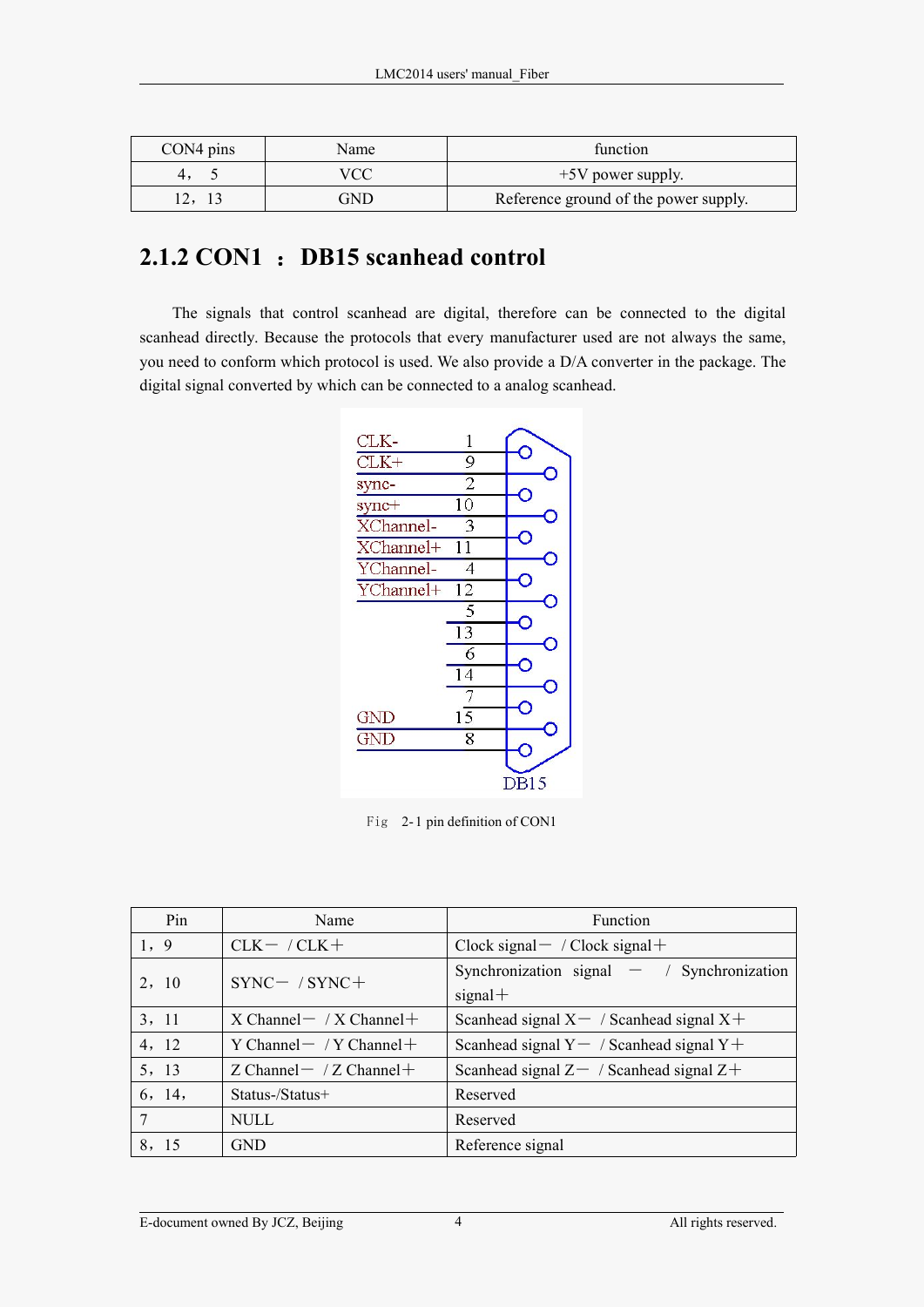<span id="page-6-0"></span>

| $CON4 \, pins$ | Name | function                              |
|----------------|------|---------------------------------------|
|                |      | $+5V$ power supply.                   |
|                | GND  | Reference ground of the power supply. |

#### **2.1.2 CON1** :**DB15 scanhead control**

The signals that control scanhead are digital, therefore can be connected to the digital scanhead directly. Because the protocols that every manufacturer used are not always the same, you need to conform which protocol is used. We also provide a D/A converter in the package. The digital signal converted by which can be connected to a analog scanhead.



| Pin    | Name                            | Function                                                  |
|--------|---------------------------------|-----------------------------------------------------------|
| 1, 9   | $CLK-$ / $CLK+$                 | $Clock signal - / Clock signal +$                         |
| 2, 10  | $SYNC-$ / $SYNC+$               | Synchronization signal $-$ / Synchronization<br>$signal+$ |
| 3, 11  | $X$ Channel $-$ / X Channel $+$ | Scanhead signal $X - /$ Scanhead signal $X +$             |
| 4, 12  | Y Channel $-$ / Y Channel $+$   | Scanhead signal $Y - /$ Scanhead signal $Y +$             |
| 5, 13  | Z Channel $-$ / Z Channel $+$   | Scanhead signal $Z-$ / Scanhead signal $Z+$               |
| 6, 14, | Status-/Status+                 | Reserved                                                  |
|        | <b>NULL</b>                     | Reserved                                                  |
| 8, 15  | <b>GND</b>                      | Reference signal                                          |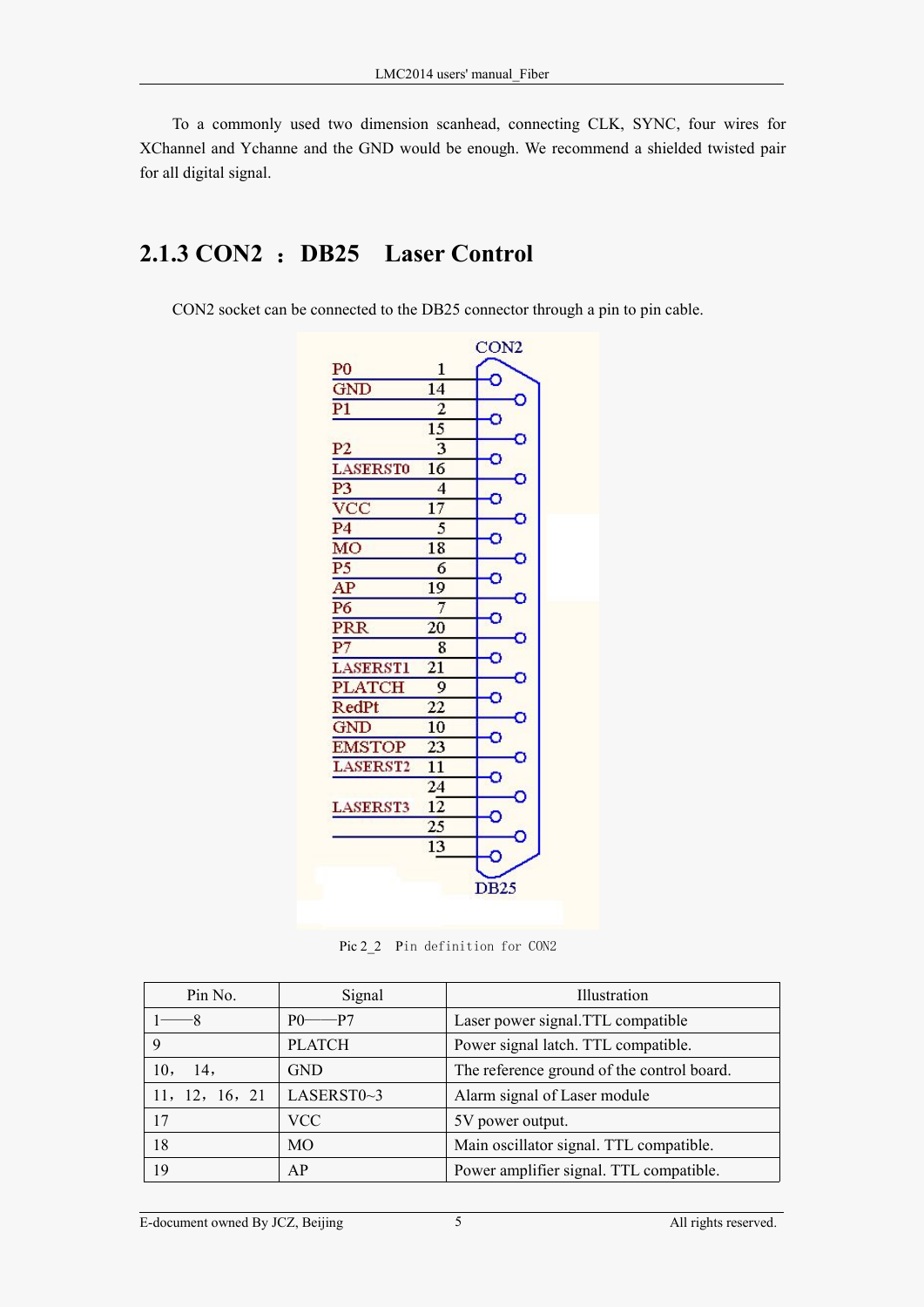<span id="page-7-0"></span>To a commonly used two dimension scanhead, connecting CLK, SYNC, four wires for XChannel and Ychanne and the GND would be enough. We recommend a shielded twisted pair for all digital signal.

#### **2.1.3 CON2** :**DB25 Laser Control**

CON2 socket can be connected to the DB25 connector through a pin to pin cable.



Pic 2\_2 Pin definition for CON2

| Pin No.        | Signal        | Illustration                               |
|----------------|---------------|--------------------------------------------|
|                | P()<br>$-P7$  | Laser power signal. TTL compatible         |
|                | <b>PLATCH</b> | Power signal latch. TTL compatible.        |
| 14,<br>10,     | <b>GND</b>    | The reference ground of the control board. |
| 11, 12, 16, 21 | LASERST0~3    | Alarm signal of Laser module               |
| 17             | VCC .         | 5V power output.                           |
| 18             | <b>MO</b>     | Main oscillator signal. TTL compatible.    |
| 19             | AP            | Power amplifier signal. TTL compatible.    |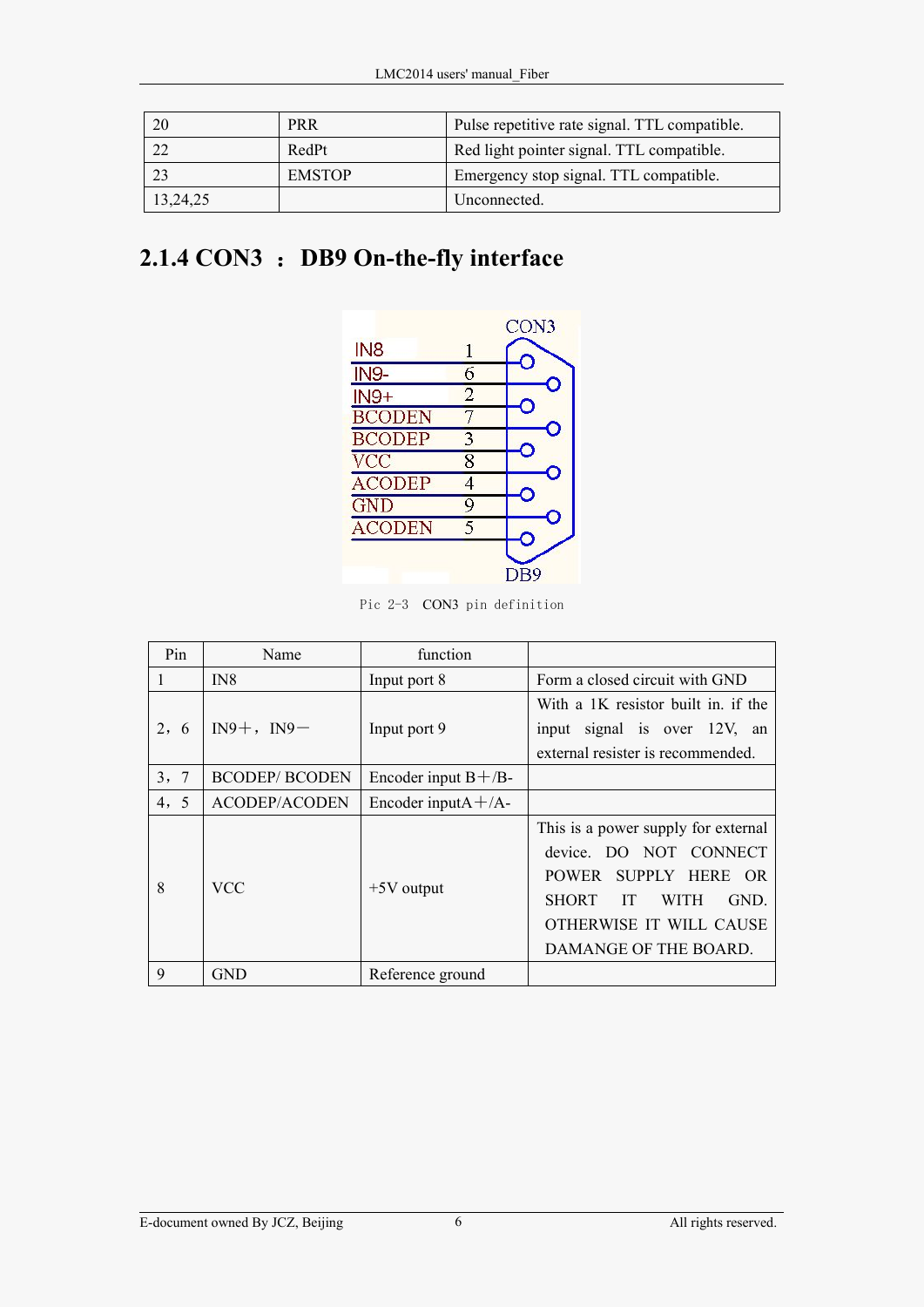<span id="page-8-0"></span>

| 20       | <b>PRR</b>    | Pulse repetitive rate signal. TTL compatible. |
|----------|---------------|-----------------------------------------------|
| 22       | RedPt         | Red light pointer signal. TTL compatible.     |
| 23       | <b>EMSTOP</b> | Emergency stop signal. TTL compatible.        |
| 13,24,25 |               | Unconnected.                                  |

### **2.1.4 CON3** :**DB9 On-the-fly interface**



Pic 2-3 CON3 pin definition

| Pin     | Name                  | function                 |                                           |
|---------|-----------------------|--------------------------|-------------------------------------------|
| 1       | IN <sub>8</sub>       | Input port 8             | Form a closed circuit with GND            |
|         |                       |                          | With a 1K resistor built in. if the       |
| 2, 6    | $IN9+$ , $IN9-$       | Input port 9             | input signal is over 12V, an              |
|         |                       |                          | external resister is recommended.         |
| 7<br>3, | <b>BCODEP/ BCODEN</b> | Encoder input $B + /B$ - |                                           |
| 4, 5    | <b>ACODEP/ACODEN</b>  | Encoder input $A + /A$ - |                                           |
|         |                       | $+5V$ output             | This is a power supply for external       |
|         |                       |                          | device. DO NOT CONNECT                    |
| 8       | <b>VCC</b>            |                          | POWER SUPPLY HERE OR                      |
|         |                       |                          | <b>SHORT</b><br>GND.<br><b>WITH</b><br>IT |
|         |                       |                          | OTHERWISE IT WILL CAUSE                   |
|         |                       |                          | DAMANGE OF THE BOARD.                     |
| 9       | <b>GND</b>            | Reference ground         |                                           |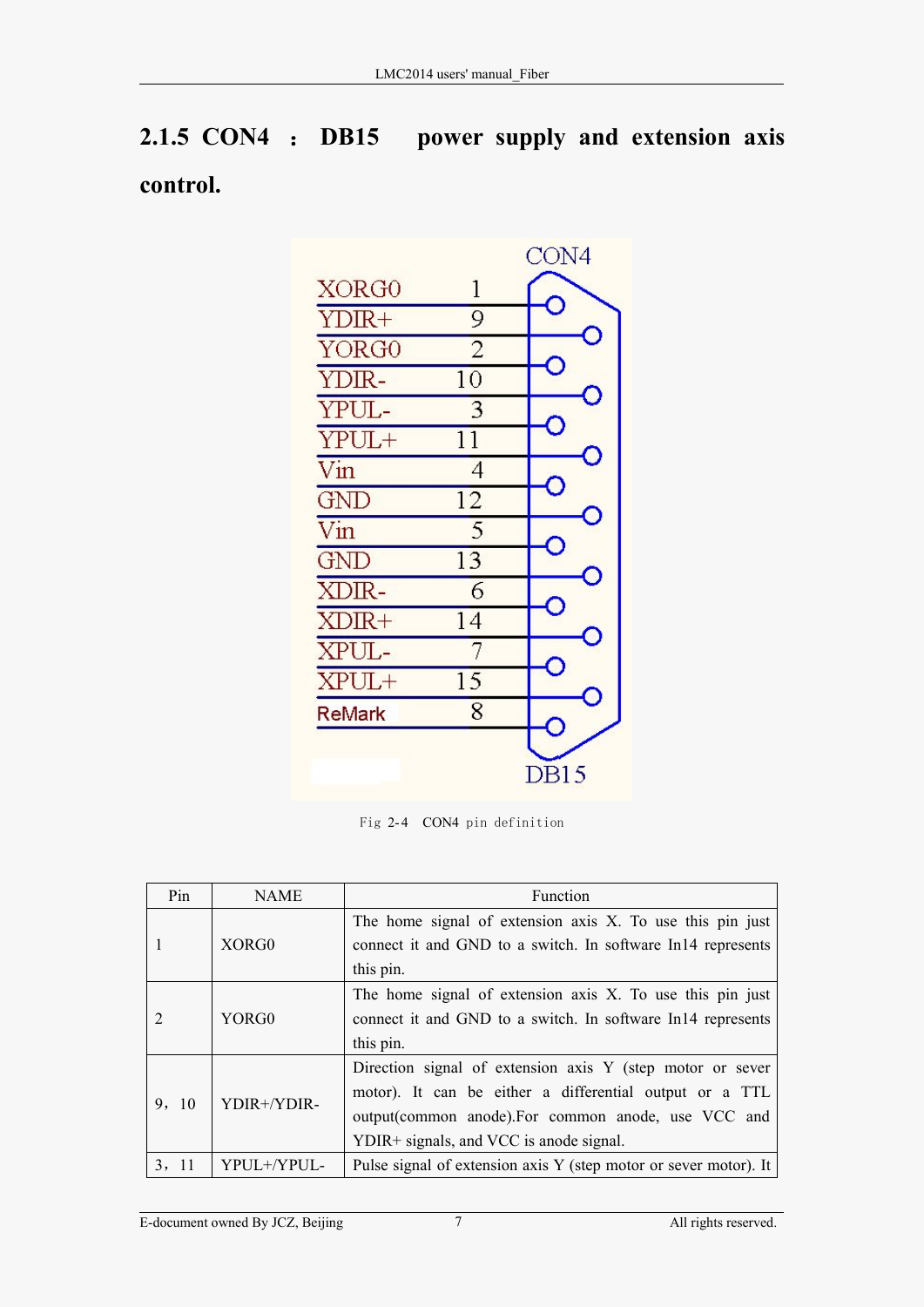## <span id="page-9-0"></span>**2.1.5 CON4** : **DB15 power supply and extension axis control.**



| Pin                  | <b>NAME</b>                                                 | Function                                                         |
|----------------------|-------------------------------------------------------------|------------------------------------------------------------------|
|                      | The home signal of extension axis X. To use this pin just   |                                                                  |
|                      | XORG0                                                       | connect it and GND to a switch. In software In14 represents      |
|                      |                                                             | this pin.                                                        |
|                      |                                                             | The home signal of extension axis X. To use this pin just        |
| YORG0                | connect it and GND to a switch. In software In14 represents |                                                                  |
|                      |                                                             | this pin.                                                        |
|                      |                                                             | Direction signal of extension axis Y (step motor or sever        |
|                      |                                                             | motor). It can be either a differential output or a TTL          |
| YDIR+/YDIR-<br>9, 10 |                                                             | output(common anode). For common anode, use VCC and              |
|                      |                                                             | YDIR+ signals, and VCC is anode signal.                          |
| 3, 11                | YPUL+/YPUL-                                                 | Pulse signal of extension axis Y (step motor or sever motor). It |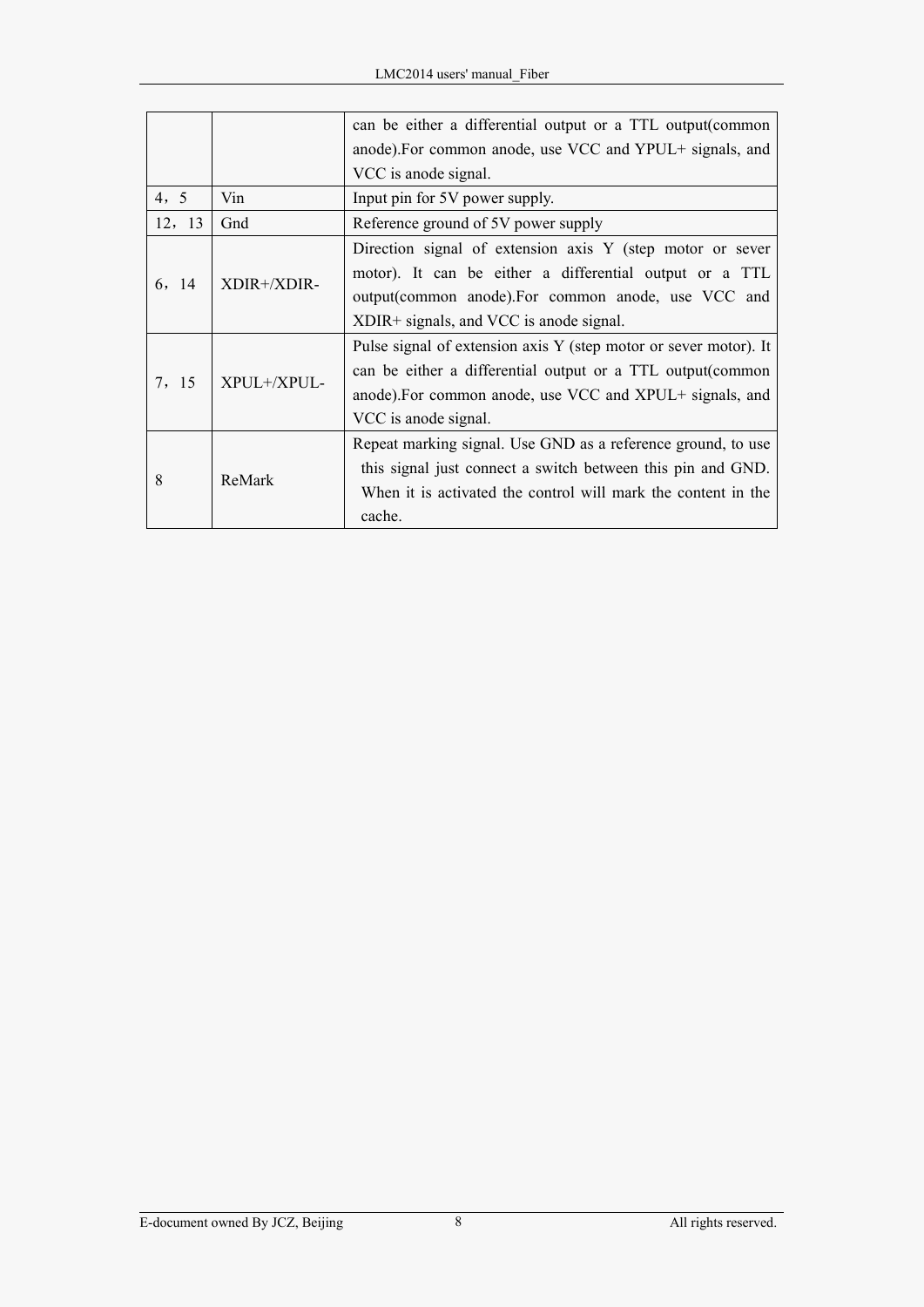|        |             | can be either a differential output or a TTL output (common      |
|--------|-------------|------------------------------------------------------------------|
|        |             | anode). For common anode, use VCC and YPUL+ signals, and         |
|        |             | VCC is anode signal.                                             |
| 4, 5   | Vin         | Input pin for 5V power supply.                                   |
| 12, 13 | Gnd         | Reference ground of 5V power supply                              |
|        |             | Direction signal of extension axis Y (step motor or sever        |
|        |             | motor). It can be either a differential output or a TTL          |
| 6, 14  | XDIR+/XDIR- | output(common anode). For common anode, use VCC and              |
|        |             | XDIR+ signals, and VCC is anode signal.                          |
|        |             | Pulse signal of extension axis Y (step motor or sever motor). It |
| 7, 15  |             | can be either a differential output or a TTL output (common      |
|        | XPUL+/XPUL- | anode). For common anode, use VCC and XPUL+ signals, and         |
|        |             | VCC is anode signal.                                             |
|        |             | Repeat marking signal. Use GND as a reference ground, to use     |
| 8      | ReMark      | this signal just connect a switch between this pin and GND.      |
|        |             | When it is activated the control will mark the content in the    |
|        |             | cache.                                                           |
|        |             |                                                                  |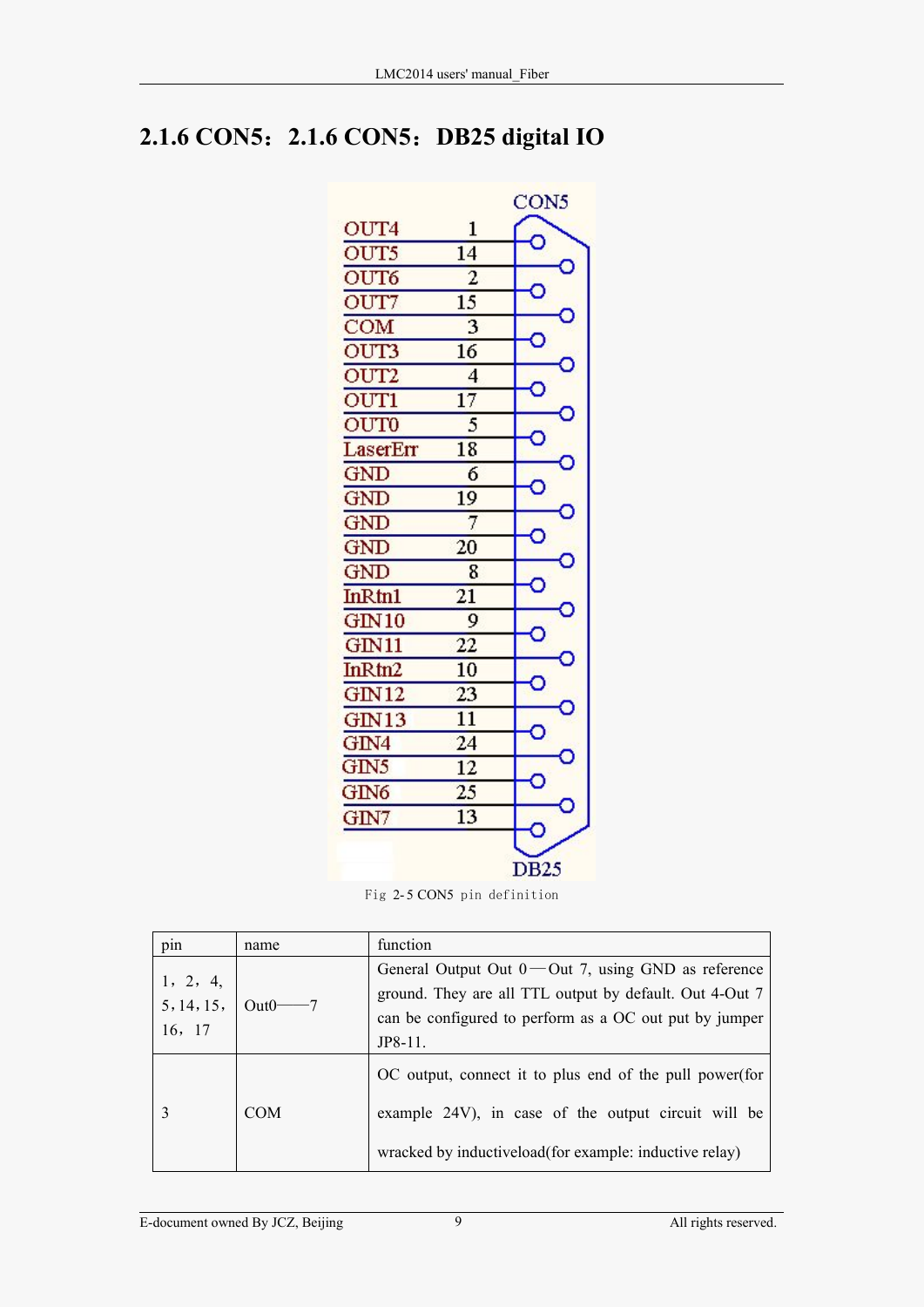### <span id="page-11-0"></span>**2.1.6 CON5**:**2.1.6 CON5**:**DB25 digital IO**



| pin                              | name             | function                                                 |
|----------------------------------|------------------|----------------------------------------------------------|
| 1, 2, 4,<br>5, 14, 15,<br>16, 17 | Out <sub>0</sub> | General Output Out $0$ — Out 7, using GND as reference   |
|                                  |                  | ground. They are all TTL output by default. Out 4-Out 7  |
|                                  |                  | can be configured to perform as a OC out put by jumper   |
|                                  |                  | $JP8-11.$                                                |
|                                  | <b>COM</b>       | OC output, connect it to plus end of the pull power (for |
|                                  |                  | example 24V), in case of the output circuit will be      |
|                                  |                  | wracked by inductive load (for example: inductive relay) |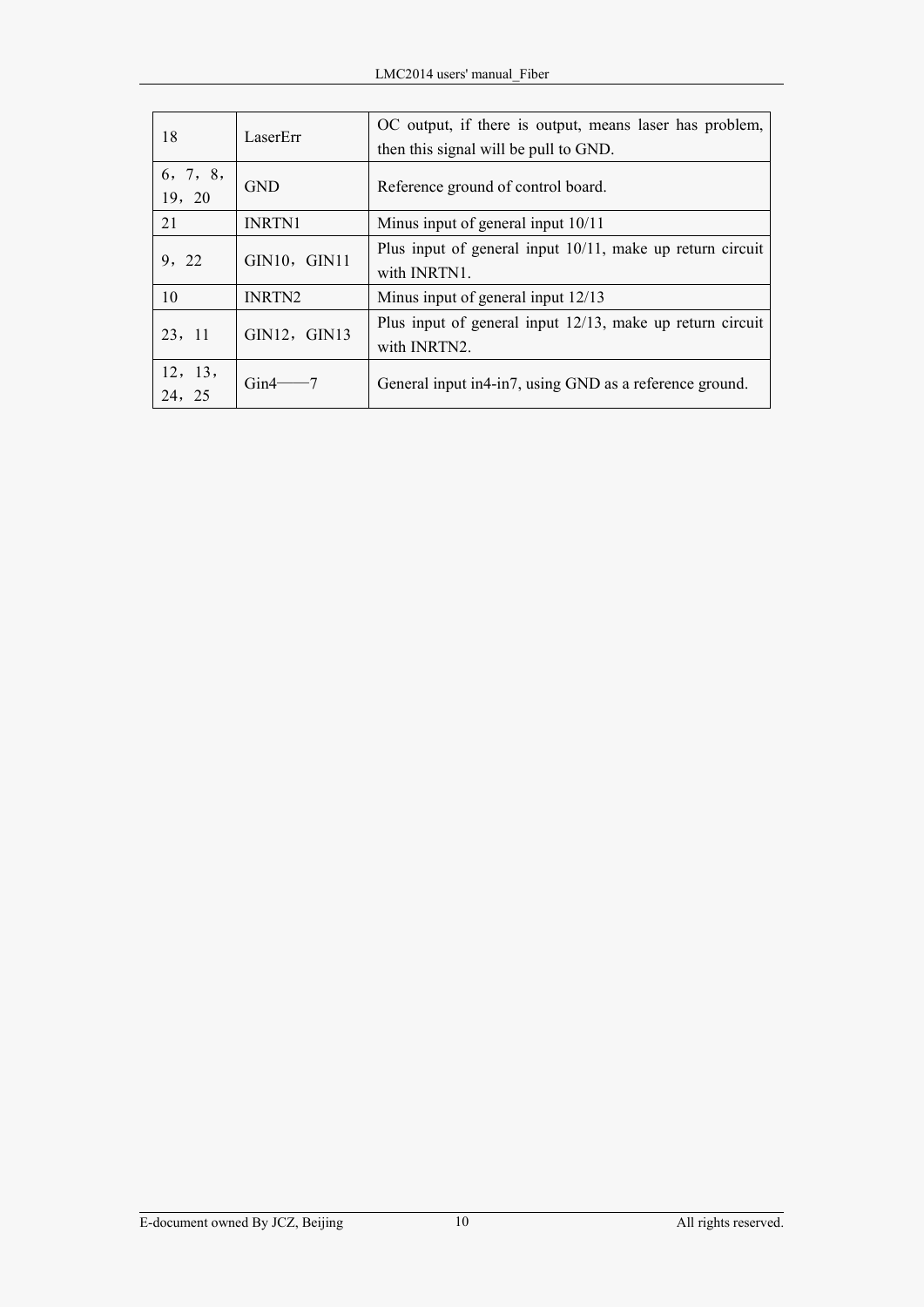| 18       | LaserErr                                            | OC output, if there is output, means laser has problem,      |  |
|----------|-----------------------------------------------------|--------------------------------------------------------------|--|
|          |                                                     | then this signal will be pull to GND.                        |  |
| 6, 7, 8, | <b>GND</b>                                          |                                                              |  |
| 19, 20   |                                                     | Reference ground of control board.                           |  |
| 21       | <b>INRTN1</b><br>Minus input of general input 10/11 |                                                              |  |
| 9, 22    | GIN10, GIN11                                        | Plus input of general input $10/11$ , make up return circuit |  |
|          |                                                     | with INRTN1.                                                 |  |
| 10       | <b>INRTN2</b>                                       | Minus input of general input 12/13                           |  |
|          | GIN12, GIN13                                        | Plus input of general input $12/13$ , make up return circuit |  |
| 23, 11   |                                                     | with INRTN2.                                                 |  |
| 12, 13,  | Gin4                                                | General input in 4-in 7, using GND as a reference ground.    |  |
| 24, 25   |                                                     |                                                              |  |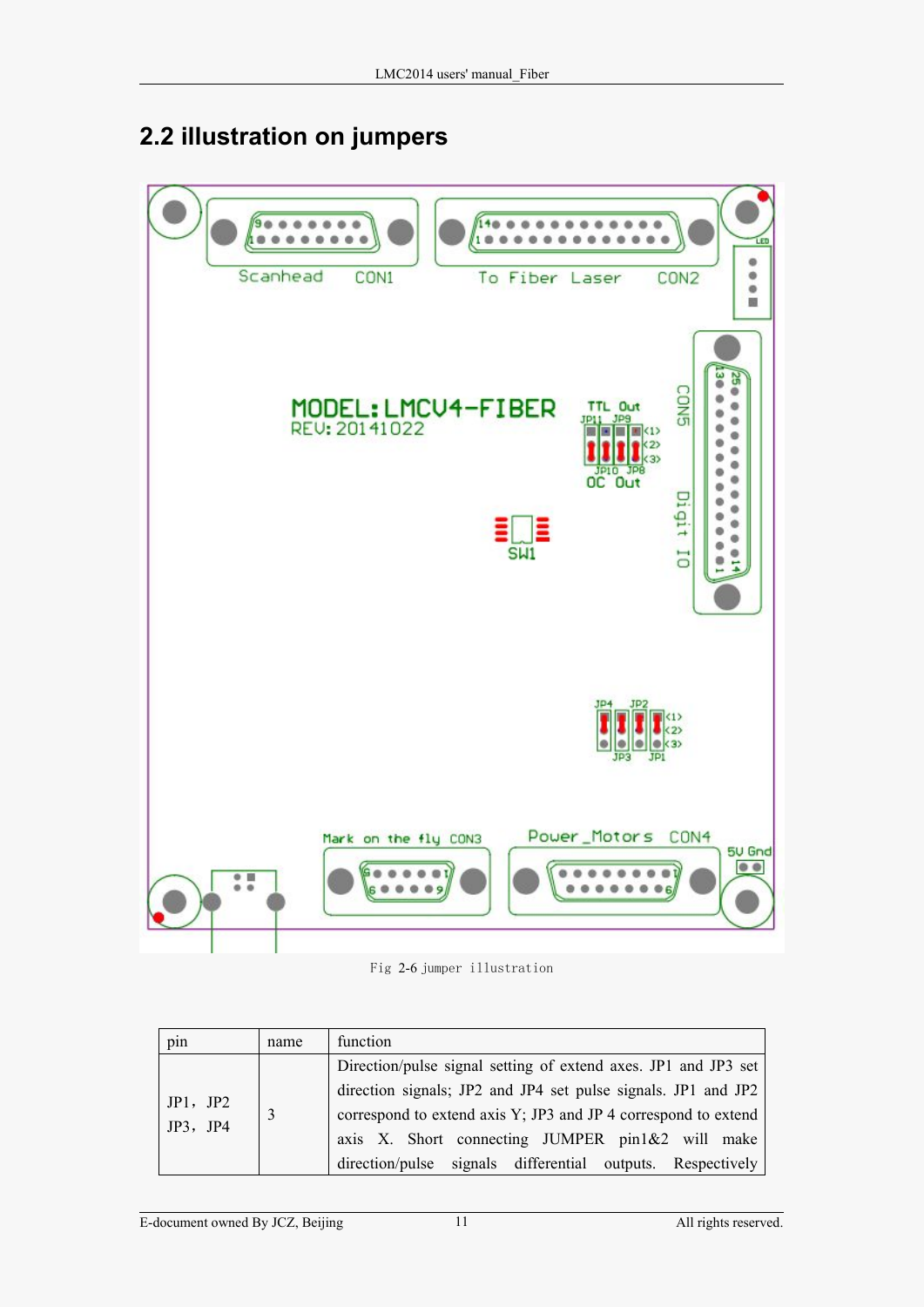### <span id="page-13-0"></span>**2.2 illustration on jumpers**



Fig 2-6 jumper illustration

| pin                  | name | function                                                       |
|----------------------|------|----------------------------------------------------------------|
| JP1, JP2<br>JP3, JP4 |      | Direction/pulse signal setting of extend axes. JP1 and JP3 set |
|                      |      | direction signals; JP2 and JP4 set pulse signals. JP1 and JP2  |
|                      |      | correspond to extend axis Y; JP3 and JP 4 correspond to extend |
|                      |      | axis X. Short connecting JUMPER pin1&2 will make               |
|                      |      | direction/pulse signals differential outputs. Respectively     |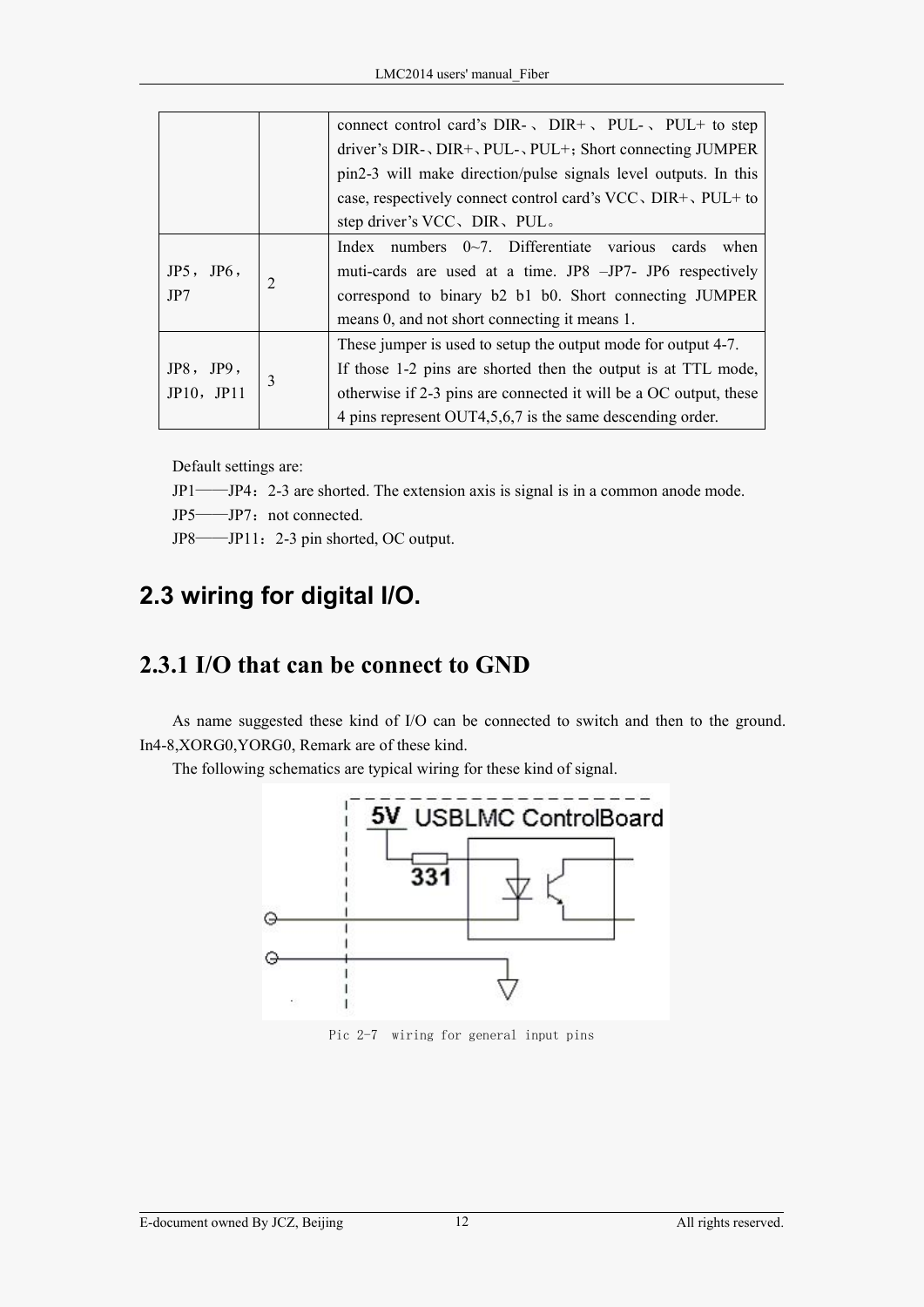<span id="page-14-0"></span>

|            |                | connect control card's DIR- $\sqrt{PUL}$ , PUL- $\sqrt{PUL}$ to step |
|------------|----------------|----------------------------------------------------------------------|
|            |                | driver's $DIR-$ , $DIR+$ , $PUL-$ , $PUL+$ ; Short connecting JUMPER |
|            |                | pin2-3 will make direction/pulse signals level outputs. In this      |
|            |                | case, respectively connect control card's VCC, DIR+, PUL+ to         |
|            |                | step driver's VCC, DIR, PUL.                                         |
| JP5, JP6,  |                | Index numbers $0\sim7$ . Differentiate various<br>cards when         |
|            |                | muti-cards are used at a time. JP8 -JP7- JP6 respectively            |
| JP7        | $\overline{2}$ | correspond to binary b2 b1 b0. Short connecting JUMPER               |
|            |                | means 0, and not short connecting it means 1.                        |
|            |                | These jumper is used to setup the output mode for output 4-7.        |
| JP8, JP9,  |                | If those 1-2 pins are shorted then the output is at TTL mode,        |
| JP10, JP11 | 3              | otherwise if 2-3 pins are connected it will be a OC output, these    |
|            |                | 4 pins represent OUT4,5,6,7 is the same descending order.            |

Default settings are:

- JP1——JP4:2-3 are shorted. The extension axis is signal is in a common anode mode.
- JP5——JP7: not connected.
- JP8——JP11:2-3 pin shorted, OC output.

### **2.3 wiring for digital I/O.**

#### **2.3.1 I/O that can be connect to GND**

As name suggested these kind of I/O can be connected to switch and then to the ground. In4-8,XORG0,YORG0, Remark are of these kind.

The following schematics are typical wiring for these kind of signal.



Pic 2-7 wiring for general input pins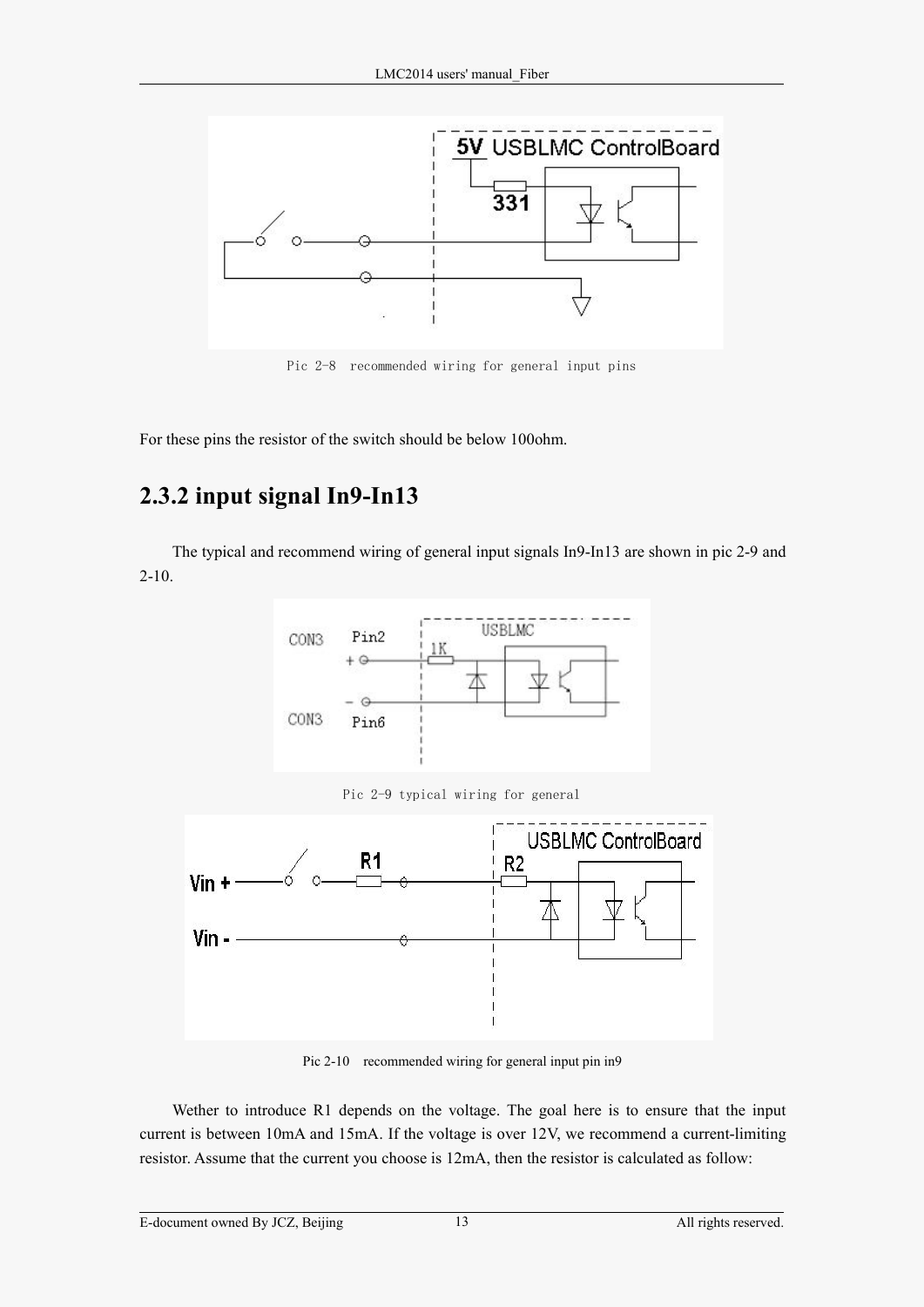<span id="page-15-0"></span>

Pic 2-8 recommended wiring for general input pins

For these pins the resistor of the switch should be below 100ohm.

#### **2.3.2 input signal In9-In13**

The typical and recommend wiring of general input signals In9-In13 are shown in pic 2-9 and  $2-10.$ 



Pic 2-9 typical wiring for general



Pic 2-10 recommended wiring for general input pin in9

Wether to introduce R1 depends on the voltage. The goal here is to ensure that the input current is between 10mA and 15mA. If the voltage is over 12V, we recommend a current-limiting resistor. Assume that the current you choose is 12mA, then the resistor is calculated as follow: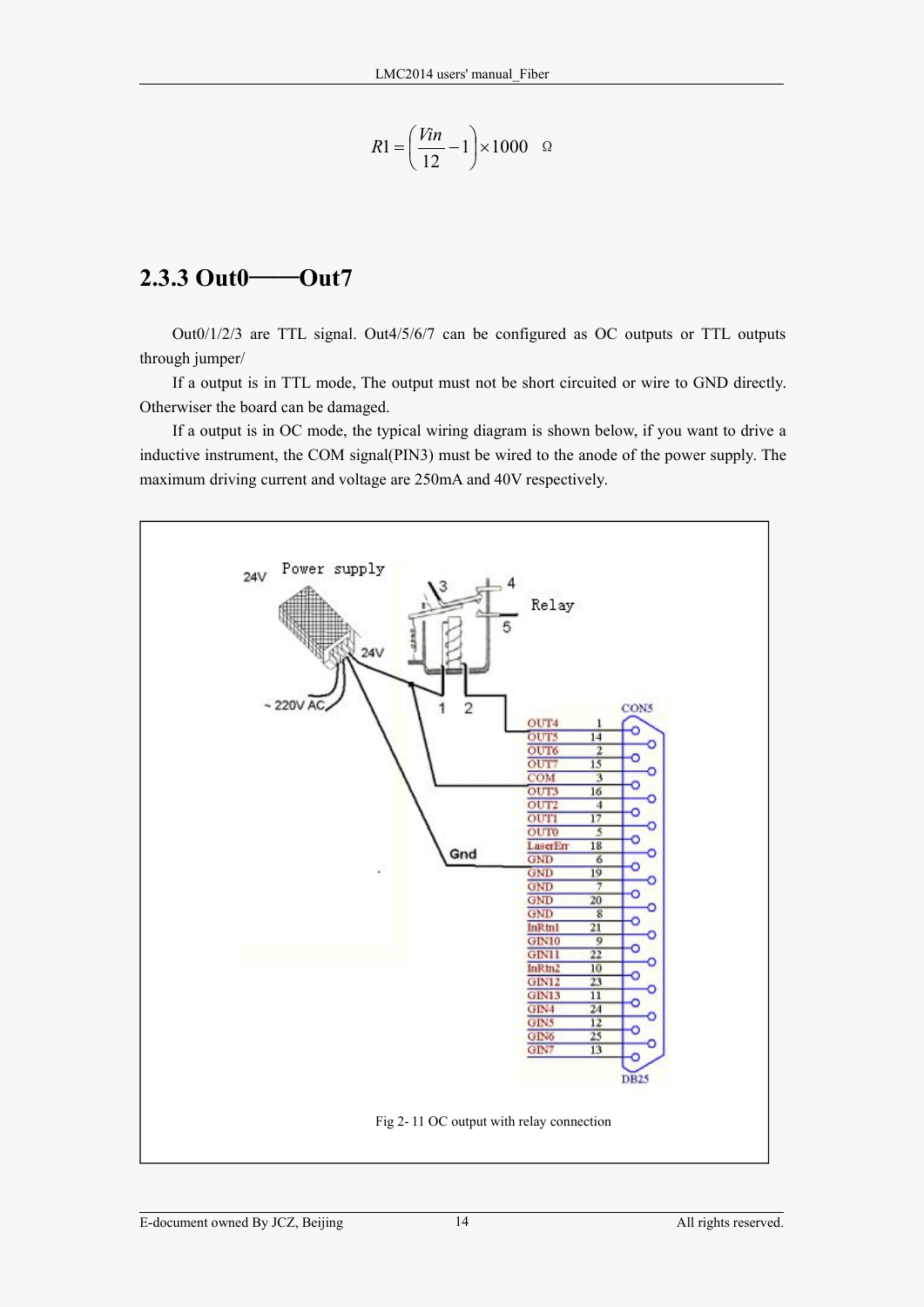$$
R1 = \left(\frac{Vin}{12} - 1\right) \times 1000 \quad \Omega
$$

#### <span id="page-16-0"></span>**2.3.3 Out0**——**Out7**

Out0/1/2/3 are TTL signal. Out4/5/6/7 can be configured as OC outputs or TTL outputs through jumper/

If a output is in TTL mode, The output must not be short circuited or wire to GND directly. Otherwiser the board can be damaged.

If a output is in OC mode, the typical wiring diagram is shown below, if you want to drive a inductive instrument, the COM signal(PIN3) must be wired to the anode of the power supply. The maximum driving current and voltage are 250mA and 40V respectively.

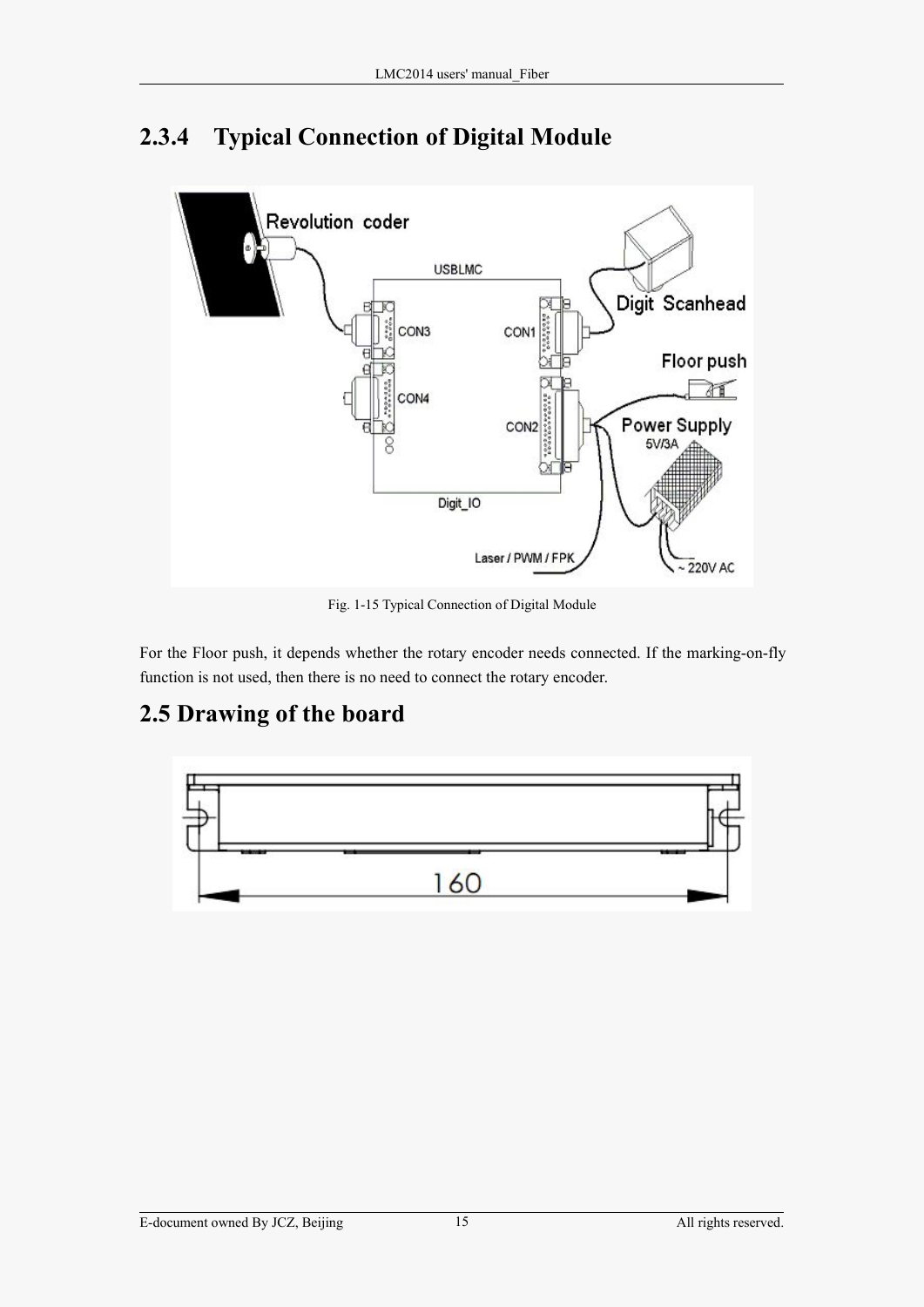

### <span id="page-17-0"></span>**2.3.4 Typical Connection of Digital Module**

Fig. 1-15 Typical Connection of Digital Module

For the Floor push, it depends whether the rotary encoder needs connected. If the marking-on-fly function is not used, then there is no need to connect the rotary encoder.

#### **2.5 Drawing of the board**